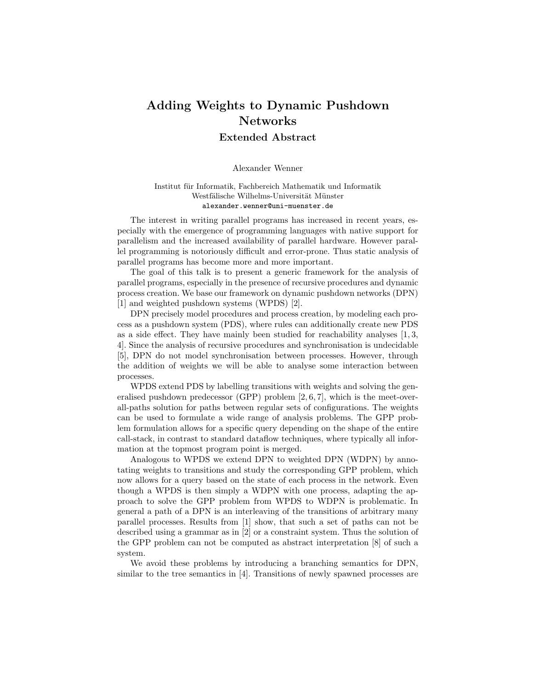## Adding Weights to Dynamic Pushdown Networks

Extended Abstract

Alexander Wenner

## Institut für Informatik, Fachbereich Mathematik und Informatik Westfälische Wilhelms-Universität Münster alexander.wenner@uni-muenster.de

The interest in writing parallel programs has increased in recent years, especially with the emergence of programming languages with native support for parallelism and the increased availability of parallel hardware. However parallel programming is notoriously difficult and error-prone. Thus static analysis of parallel programs has become more and more important.

The goal of this talk is to present a generic framework for the analysis of parallel programs, especially in the presence of recursive procedures and dynamic process creation. We base our framework on dynamic pushdown networks (DPN) [1] and weighted pushdown systems (WPDS) [2].

DPN precisely model procedures and process creation, by modeling each process as a pushdown system (PDS), where rules can additionally create new PDS as a side effect. They have mainly been studied for reachability analyses [1, 3, 4]. Since the analysis of recursive procedures and synchronisation is undecidable [5], DPN do not model synchronisation between processes. However, through the addition of weights we will be able to analyse some interaction between processes.

WPDS extend PDS by labelling transitions with weights and solving the generalised pushdown predecessor (GPP) problem [2, 6, 7], which is the meet-overall-paths solution for paths between regular sets of configurations. The weights can be used to formulate a wide range of analysis problems. The GPP problem formulation allows for a specific query depending on the shape of the entire call-stack, in contrast to standard dataflow techniques, where typically all information at the topmost program point is merged.

Analogous to WPDS we extend DPN to weighted DPN (WDPN) by annotating weights to transitions and study the corresponding GPP problem, which now allows for a query based on the state of each process in the network. Even though a WPDS is then simply a WDPN with one process, adapting the approach to solve the GPP problem from WPDS to WDPN is problematic. In general a path of a DPN is an interleaving of the transitions of arbitrary many parallel processes. Results from [1] show, that such a set of paths can not be described using a grammar as in [2] or a constraint system. Thus the solution of the GPP problem can not be computed as abstract interpretation [8] of such a system.

We avoid these problems by introducing a branching semantics for DPN, similar to the tree semantics in [4]. Transitions of newly spawned processes are